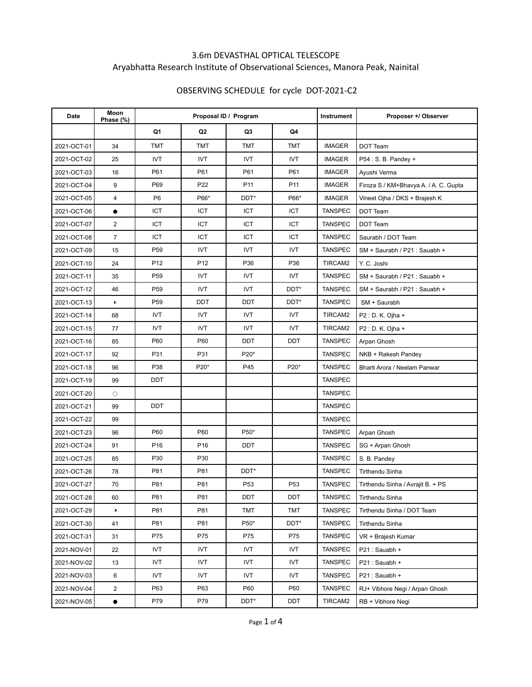## 3.6m DEVASTHAL OPTICAL TELESCOPE Aryabhatta Research Institute of Observational Sciences, Manora Peak, Nainital

## OBSERVING SCHEDULE for cycle DOT-2021-C2

| Date        | Moon<br>Phase (%) |                 | Proposal ID / Program |                  | <b>Instrument</b> | Proposer +/ Observer |                                       |
|-------------|-------------------|-----------------|-----------------------|------------------|-------------------|----------------------|---------------------------------------|
|             |                   | Q1              | Q2                    | Q3               | Q4                |                      |                                       |
| 2021-OCT-01 | 34                | <b>TMT</b>      | <b>TMT</b>            | <b>TMT</b>       | <b>TMT</b>        | <b>IMAGER</b>        | DOT Team                              |
| 2021-OCT-02 | 25                | <b>IVT</b>      | <b>IVT</b>            | <b>IVT</b>       | <b>IVT</b>        | <b>IMAGER</b>        | P54 : S. B. Pandey +                  |
| 2021-OCT-03 | 16                | P61             | P61                   | P61              | P61               | <b>IMAGER</b>        | Ayushi Verma                          |
| 2021-OCT-04 | 9                 | P69             | P22                   | P <sub>11</sub>  | P <sub>11</sub>   | <b>IMAGER</b>        | Firoza S / KM+Bhavya A. / A. C. Gupta |
| 2021-OCT-05 | 4                 | P <sub>6</sub>  | P66*                  | DDT*             | P66*              | <b>IMAGER</b>        | Vineet Ojha / DKS + Brajesh K         |
| 2021-OCT-06 | $\bullet$         | ICT             | <b>ICT</b>            | ICT              | ICT               | <b>TANSPEC</b>       | DOT Team                              |
| 2021-OCT-07 | $\overline{2}$    | <b>ICT</b>      | <b>ICT</b>            | <b>ICT</b>       | ICT               | <b>TANSPEC</b>       | DOT Team                              |
| 2021-OCT-08 | $\overline{7}$    | ICT             | ICT                   | ICT              | ICT               | <b>TANSPEC</b>       | Saurabh / DOT Team                    |
| 2021-OCT-09 | 15                | P <sub>59</sub> | <b>IVT</b>            | <b>IVT</b>       | <b>IVT</b>        | <b>TANSPEC</b>       | SM + Saurabh / P21 : Sauabh +         |
| 2021-OCT-10 | 24                | P <sub>12</sub> | P <sub>12</sub>       | P36              | P36               | TIRCAM2              | Y. C. Joshi                           |
| 2021-OCT-11 | 35                | P <sub>59</sub> | <b>IVT</b>            | <b>IVT</b>       | <b>IVT</b>        | <b>TANSPEC</b>       | SM + Saurabh / P21 : Sauabh +         |
| 2021-OCT-12 | 46                | P <sub>59</sub> | <b>IVT</b>            | <b>IVT</b>       | DDT*              | <b>TANSPEC</b>       | SM + Saurabh / P21 : Sauabh +         |
| 2021-OCT-13 | $\bullet$         | P <sub>59</sub> | <b>DDT</b>            | DDT              | DDT*              | <b>TANSPEC</b>       | SM + Saurabh                          |
| 2021-OCT-14 | 68                | <b>IVT</b>      | <b>IVT</b>            | <b>IVT</b>       | <b>IVT</b>        | TIRCAM2              | P2 : D. K. Ojha +                     |
| 2021-OCT-15 | 77                | <b>IVT</b>      | <b>IVT</b>            | <b>IVT</b>       | <b>IVT</b>        | TIRCAM2              | P2 : D. K. Ojha +                     |
| 2021-OCT-16 | 85                | P60             | P60                   | DDT              | DDT               | <b>TANSPEC</b>       | Arpan Ghosh                           |
| 2021-OCT-17 | 92                | P31             | P31                   | P20*             |                   | <b>TANSPEC</b>       | NKB + Rakesh Pandey                   |
| 2021-OCT-18 | 96                | P38             | P20*                  | P45              | P20*              | <b>TANSPEC</b>       | Bharti Arora / Neelam Panwar          |
| 2021-OCT-19 | 99                | DDT             |                       |                  |                   | <b>TANSPEC</b>       |                                       |
| 2021-OCT-20 | $\circ$           |                 |                       |                  |                   | <b>TANSPEC</b>       |                                       |
| 2021-OCT-21 | 99                | DDT             |                       |                  |                   | <b>TANSPEC</b>       |                                       |
| 2021-OCT-22 | 99                |                 |                       |                  |                   | <b>TANSPEC</b>       |                                       |
| 2021-OCT-23 | 96                | P60             | P60                   | P50*             |                   | <b>TANSPEC</b>       | Arpan Ghosh                           |
| 2021-OCT-24 | 91                | P <sub>16</sub> | P <sub>16</sub>       | DDT              |                   | <b>TANSPEC</b>       | SG + Arpan Ghosh                      |
| 2021-OCT-25 | 85                | P30             | P30                   |                  |                   | <b>TANSPEC</b>       | S. B. Pandey                          |
| 2021-OCT-26 | 78                | P81             | P81                   | DDT <sup>*</sup> |                   | <b>TANSPEC</b>       | <b>Tirthendu Sinha</b>                |
| 2021-OCT-27 | 70                | P81             | P81                   | P <sub>53</sub>  | P <sub>53</sub>   | <b>TANSPEC</b>       | Tirthendu Sinha / Avrajit B. + PS     |
| 2021-OCT-28 | 60                | P81             | P81                   | DDT              | DDT               | TANSPEC              | Tirthendu Sinha                       |
| 2021-OCT-29 | $\bullet$         | P81             | P81                   | <b>TMT</b>       | <b>TMT</b>        | <b>TANSPEC</b>       | Tirthendu Sinha / DOT Team            |
| 2021-OCT-30 | 41                | P81             | P81                   | P50*             | DDT*              | <b>TANSPEC</b>       | Tirthendu Sinha                       |
| 2021-OCT-31 | 31                | P75             | P75                   | P75              | P75               | <b>TANSPEC</b>       | VR + Brajesh Kumar                    |
| 2021-NOV-01 | 22                | IVT             | IVT                   | IVT              | IVT               | <b>TANSPEC</b>       | P21: Sauabh +                         |
| 2021-NOV-02 | 13                | <b>IVT</b>      | <b>IVT</b>            | <b>IVT</b>       | <b>IVT</b>        | <b>TANSPEC</b>       | P21: Sauabh +                         |
| 2021-NOV-03 | 6                 | IVT             | IVT                   | <b>IVT</b>       | IVT               | <b>TANSPEC</b>       | P21: Sauabh +                         |
| 2021-NOV-04 | 2                 | P63             | P63                   | P60              | P60               | <b>TANSPEC</b>       | RJ+ Vibhore Negi / Arpan Ghosh        |
| 2021-NOV-05 | $\bullet$         | P79             | P79                   | DDT*             | <b>DDT</b>        | TIRCAM2              | RB + Vibhore Negi                     |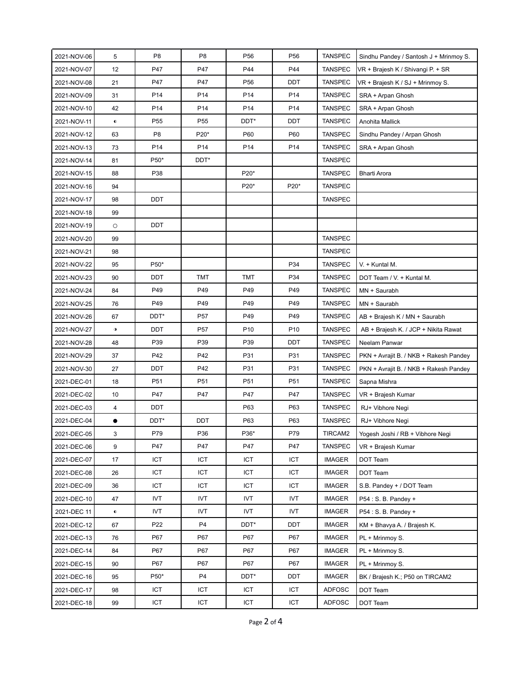| 2021-NOV-06 | 5           | P <sub>8</sub>  | P <sub>8</sub>  | P <sub>56</sub> | P <sub>56</sub> | <b>TANSPEC</b> | Sindhu Pandey / Santosh J + Mrinmoy S. |
|-------------|-------------|-----------------|-----------------|-----------------|-----------------|----------------|----------------------------------------|
| 2021-NOV-07 | 12          | P47             | P47             | P44             | P44             | <b>TANSPEC</b> | VR + Brajesh K / Shivangi P. + SR      |
| 2021-NOV-08 | 21          | P47             | P47             | P <sub>56</sub> | DDT             | <b>TANSPEC</b> | VR + Brajesh K / SJ + Mrinmoy S.       |
| 2021-NOV-09 | 31          | P14             | P14             | P14             | P14             | <b>TANSPEC</b> | SRA + Arpan Ghosh                      |
| 2021-NOV-10 | 42          | P14             | P14             | P14             | P14             | <b>TANSPEC</b> | SRA + Arpan Ghosh                      |
| 2021-NOV-11 | $\bullet$   | P <sub>55</sub> | P <sub>55</sub> | DDT*            | DDT             | <b>TANSPEC</b> | Anohita Mallick                        |
| 2021-NOV-12 | 63          | P <sub>8</sub>  | P20*            | P60             | P60             | <b>TANSPEC</b> | Sindhu Pandey / Arpan Ghosh            |
| 2021-NOV-13 | 73          | P14             | P14             | P14             | P14             | <b>TANSPEC</b> | SRA + Arpan Ghosh                      |
| 2021-NOV-14 | 81          | P50*            | DDT*            |                 |                 | <b>TANSPEC</b> |                                        |
| 2021-NOV-15 | 88          | P38             |                 | P20*            |                 | <b>TANSPEC</b> | <b>Bharti Arora</b>                    |
| 2021-NOV-16 | 94          |                 |                 | P20*            | P20*            | TANSPEC        |                                        |
| 2021-NOV-17 | 98          | DDT             |                 |                 |                 | <b>TANSPEC</b> |                                        |
| 2021-NOV-18 | 99          |                 |                 |                 |                 |                |                                        |
| 2021-NOV-19 | $\circ$     | <b>DDT</b>      |                 |                 |                 |                |                                        |
| 2021-NOV-20 | 99          |                 |                 |                 |                 | <b>TANSPEC</b> |                                        |
| 2021-NOV-21 | 98          |                 |                 |                 |                 | <b>TANSPEC</b> |                                        |
| 2021-NOV-22 | 95          | P50*            |                 |                 | P34             | <b>TANSPEC</b> | V. + Kuntal M.                         |
| 2021-NOV-23 | 90          | DDT             | TMT             | TMT             | P34             | <b>TANSPEC</b> | DOT Team / V. + Kuntal M.              |
| 2021-NOV-24 | 84          | P49             | P49             | P49             | P49             | <b>TANSPEC</b> | MN + Saurabh                           |
| 2021-NOV-25 | 76          | P49             | P49             | P49             | P49             | <b>TANSPEC</b> | MN + Saurabh                           |
| 2021-NOV-26 | 67          | DDT*            | P <sub>57</sub> | P49             | P49             | <b>TANSPEC</b> | AB + Brajesh K / MN + Saurabh          |
| 2021-NOV-27 | $\mathbf 0$ | DDT             | P <sub>57</sub> | P <sub>10</sub> | P <sub>10</sub> | <b>TANSPEC</b> | AB + Brajesh K. / JCP + Nikita Rawat   |
| 2021-NOV-28 | 48          | P39             | P39             | P39             | DDT             | <b>TANSPEC</b> | Neelam Panwar                          |
| 2021-NOV-29 | 37          | P42             | P42             | P31             | P31             | <b>TANSPEC</b> | PKN + Avrajit B. / NKB + Rakesh Pandey |
| 2021-NOV-30 | 27          | DDT             | P42             | P31             | P31             | <b>TANSPEC</b> | PKN + Avrajit B. / NKB + Rakesh Pandey |
| 2021-DEC-01 | 18          | P <sub>51</sub> | P51             | P <sub>51</sub> | P <sub>51</sub> | <b>TANSPEC</b> | Sapna Mishra                           |
| 2021-DEC-02 | 10          | P47             | P47             | P47             | P47             | <b>TANSPEC</b> | VR + Brajesh Kumar                     |
| 2021-DEC-03 | 4           | DDT             |                 | P63             | P63             | <b>TANSPEC</b> | RJ+ Vibhore Negi                       |
| 2021-DEC-04 | $\bullet$   | DDT*            | DDT             | P63             | P63             | <b>TANSPEC</b> | RJ+ Vibhore Negi                       |
| 2021-DEC-05 | 3           | P79             | P36             | P36*            | P79             | TIRCAM2        | Yogesh Joshi / RB + Vibhore Negi       |
| 2021-DEC-06 | 9           | P47             | P47             | P47             | P47             | <b>TANSPEC</b> | VR + Brajesh Kumar                     |
| 2021-DEC-07 | 17          | ICT             | ICT             | ICT             | ICT             | <b>IMAGER</b>  | DOT Team                               |
| 2021-DEC-08 | 26          | <b>ICT</b>      | <b>ICT</b>      | <b>ICT</b>      | <b>ICT</b>      | <b>IMAGER</b>  | DOT Team                               |
| 2021-DEC-09 | 36          | ICT             | ICT             | ICT             | ICT             | <b>IMAGER</b>  | S.B. Pandey + / DOT Team               |
| 2021-DEC-10 | 47          | <b>IVT</b>      | <b>IVT</b>      | <b>IVT</b>      | <b>IVT</b>      | <b>IMAGER</b>  | P54 : S. B. Pandey +                   |
| 2021-DEC 11 | $\bullet$   | IVT             | IVT             | IVT             | <b>IVT</b>      | <b>IMAGER</b>  | P54 : S. B. Pandey +                   |
| 2021-DEC-12 | 67          | P22             | P <sub>4</sub>  | DDT*            | <b>DDT</b>      | <b>IMAGER</b>  | KM + Bhavya A. / Brajesh K.            |
| 2021-DEC-13 | 76          | P67             | P67             | P67             | P67             | <b>IMAGER</b>  | PL + Mrinmoy S.                        |
| 2021-DEC-14 | 84          | P67             | P67             | P67             | P67             | <b>IMAGER</b>  | PL + Mrinmoy S.                        |
| 2021-DEC-15 | 90          | P67             | P67             | P67             | P67             | <b>IMAGER</b>  | PL + Mrinmoy S.                        |
| 2021-DEC-16 | 95          | P50*            | P <sub>4</sub>  | DDT*            | <b>DDT</b>      | <b>IMAGER</b>  | BK / Brajesh K.; P50 on TIRCAM2        |
| 2021-DEC-17 | 98          | ICT             | ICT             | ICT             | ICT             | <b>ADFOSC</b>  | DOT Team                               |
| 2021-DEC-18 | 99          | ICT             | ICT             | ICT             | ICT             | <b>ADFOSC</b>  | DOT Team                               |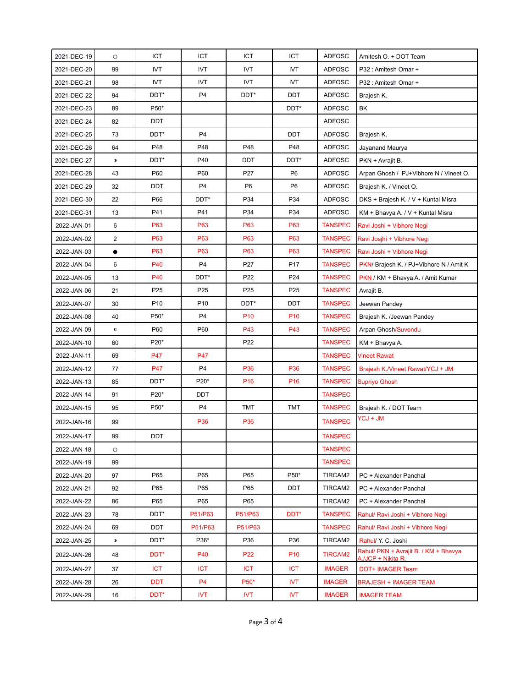| 2021-DEC-19 | $\circ$     | <b>ICT</b>      | <b>ICT</b>      | ICT             | ICT             | <b>ADFOSC</b>  | Amitesh O. + DOT Team                                       |
|-------------|-------------|-----------------|-----------------|-----------------|-----------------|----------------|-------------------------------------------------------------|
| 2021-DEC-20 | 99          | <b>IVT</b>      | <b>IVT</b>      | <b>IVT</b>      | <b>IVT</b>      | <b>ADFOSC</b>  | P32: Amitesh Omar +                                         |
| 2021-DEC-21 | 98          | <b>IVT</b>      | <b>IVT</b>      | <b>IVT</b>      | <b>IVT</b>      | <b>ADFOSC</b>  | P32: Amitesh Omar +                                         |
| 2021-DEC-22 | 94          | DDT*            | P <sub>4</sub>  | DDT*            | <b>DDT</b>      | <b>ADFOSC</b>  | Brajesh K.                                                  |
| 2021-DEC-23 | 89          | P50*            |                 |                 | DDT*            | <b>ADFOSC</b>  | BK                                                          |
| 2021-DEC-24 | 82          | DDT             |                 |                 |                 | <b>ADFOSC</b>  |                                                             |
| 2021-DEC-25 | 73          | DDT*            | P <sub>4</sub>  |                 | <b>DDT</b>      | <b>ADFOSC</b>  | Brajesh K.                                                  |
| 2021-DEC-26 | 64          | P48             | P48             | P48             | P48             | <b>ADFOSC</b>  | Jayanand Maurya                                             |
| 2021-DEC-27 | $\mathbf 0$ | DDT*            | P40             | DDT             | DDT*            | ADFOSC         | PKN + Avrajit B.                                            |
| 2021-DEC-28 | 43          | P60             | P60             | P27             | P <sub>6</sub>  | <b>ADFOSC</b>  | Arpan Ghosh / PJ+Vibhore N / Vineet O.                      |
| 2021-DEC-29 | 32          | DDT             | P <sub>4</sub>  | P <sub>6</sub>  | P <sub>6</sub>  | <b>ADFOSC</b>  | Brajesh K. / Vineet O.                                      |
| 2021-DEC-30 | 22          | P66             | DDT*            | P34             | P34             | <b>ADFOSC</b>  | DKS + Brajesh K. / V + Kuntal Misra                         |
| 2021-DEC-31 | 13          | P41             | P41             | P34             | P34             | <b>ADFOSC</b>  | KM + Bhavya A. / V + Kuntal Misra                           |
| 2022-JAN-01 | 6           | P63             | P63             | P63             | P63             | <b>TANSPEC</b> | Ravi Joshi + Vibhore Negi                                   |
| 2022-JAN-02 | 2           | P63             | P63             | P63             | P63             | <b>TANSPEC</b> | Ravi Josjhi + Vibhore Negi                                  |
| 2022-JAN-03 | $\bullet$   | P63             | P63             | P63             | P63             | <b>TANSPEC</b> | Ravi Joshi + Vibhore Negi                                   |
| 2022-JAN-04 | 6           | P40             | P <sub>4</sub>  | P27             | P17             | <b>TANSPEC</b> | PKN/ Brajesh K. / PJ+Vibhore N / Amit K                     |
| 2022-JAN-05 | 13          | P40             | DDT*            | P22             | P24             | <b>TANSPEC</b> | PKN / KM + Bhavya A. / Amit Kumar                           |
| 2022-JAN-06 | 21          | P <sub>25</sub> | P <sub>25</sub> | P <sub>25</sub> | P <sub>25</sub> | <b>TANSPEC</b> | Avrajit B.                                                  |
| 2022-JAN-07 | 30          | P <sub>10</sub> | P <sub>10</sub> | DDT*            | <b>DDT</b>      | <b>TANSPEC</b> | Jeewan Pandey                                               |
| 2022-JAN-08 | 40          | P50*            | P <sub>4</sub>  | P <sub>10</sub> | P <sub>10</sub> | <b>TANSPEC</b> | Brajesh K. /Jeewan Pandey                                   |
| 2022-JAN-09 | $\bullet$   | P60             | P60             | P43             | P43             | <b>TANSPEC</b> | Arpan Ghosh/Suvendu                                         |
| 2022-JAN-10 | 60          | P20*            |                 | P22             |                 | <b>TANSPEC</b> | KM + Bhavya A.                                              |
| 2022-JAN-11 | 69          | P47             | P47             |                 |                 | <b>TANSPEC</b> | <b>Vineet Rawat</b>                                         |
| 2022-JAN-12 | 77          | P47             | P <sub>4</sub>  | P36             | P36             | <b>TANSPEC</b> | Brajesh K./Vineet Rawat/YCJ + JM                            |
| 2022-JAN-13 | 85          | DDT*            | P20*            | P <sub>16</sub> | P <sub>16</sub> | <b>TANSPEC</b> | Supriyo Ghosh                                               |
| 2022-JAN-14 | 91          | P20*            | DDT             |                 |                 | <b>TANSPEC</b> |                                                             |
| 2022-JAN-15 | 95          | P50*            | P <sub>4</sub>  | <b>TMT</b>      | <b>TMT</b>      | <b>TANSPEC</b> | Brajesh K. / DOT Team                                       |
| 2022-JAN-16 | 99          |                 | P36             | P36             |                 | <b>TANSPEC</b> | YCJ + JM                                                    |
| 2022-JAN-17 | 99          | DDT             |                 |                 |                 | <b>TANSPEC</b> |                                                             |
| 2022-JAN-18 | $\circ$     |                 |                 |                 |                 | <b>TANSPEC</b> |                                                             |
| 2022-JAN-19 | 99          |                 |                 |                 |                 | <b>TANSPEC</b> |                                                             |
| 2022-JAN-20 | 97          | P65             | P65             | P65             | P50*            | TIRCAM2        | PC + Alexander Panchal                                      |
| 2022-JAN-21 | 92          | P65             | P65             | P65             | DDT             | TIRCAM2        | PC + Alexander Panchal                                      |
| 2022-JAN-22 | 86          | P65             | P65             | P65             |                 | TIRCAM2        | PC + Alexander Panchal                                      |
| 2022-JAN-23 | 78          | DDT*            | P51/P63         | P51/P63         | DDT*            | <b>TANSPEC</b> | Rahul/ Ravi Joshi + Vibhore Negi                            |
| 2022-JAN-24 | 69          | DDT             | P51/P63         | P51/P63         |                 | <b>TANSPEC</b> | Rahul/ Ravi Joshi + Vibhore Negi                            |
| 2022-JAN-25 | $\bullet$   | DDT*            | P36*            | P36             | P36             | TIRCAM2        | Rahul/ Y. C. Joshi                                          |
| 2022-JAN-26 | 48          | DDT*            | P40             | P <sub>22</sub> | P <sub>10</sub> | <b>TIRCAM2</b> | Rahul/ PKN + Avrajit B. / KM + Bhavya<br>A./JCP + Nikita R. |
| 2022-JAN-27 | 37          | <b>ICT</b>      | <b>ICT</b>      | <b>ICT</b>      | <b>ICT</b>      | <b>IMAGER</b>  | DOT+ IMAGER Team                                            |
| 2022-JAN-28 | 26          | <b>DDT</b>      | P <sub>4</sub>  | P50*            | <b>IVT</b>      | <b>IMAGER</b>  | <b>BRAJESH + IMAGER TEAM</b>                                |
| 2022-JAN-29 | 16          | DDT*            | <b>IVT</b>      | IVT             | IVT             | <b>IMAGER</b>  | <b>IMAGER TEAM</b>                                          |